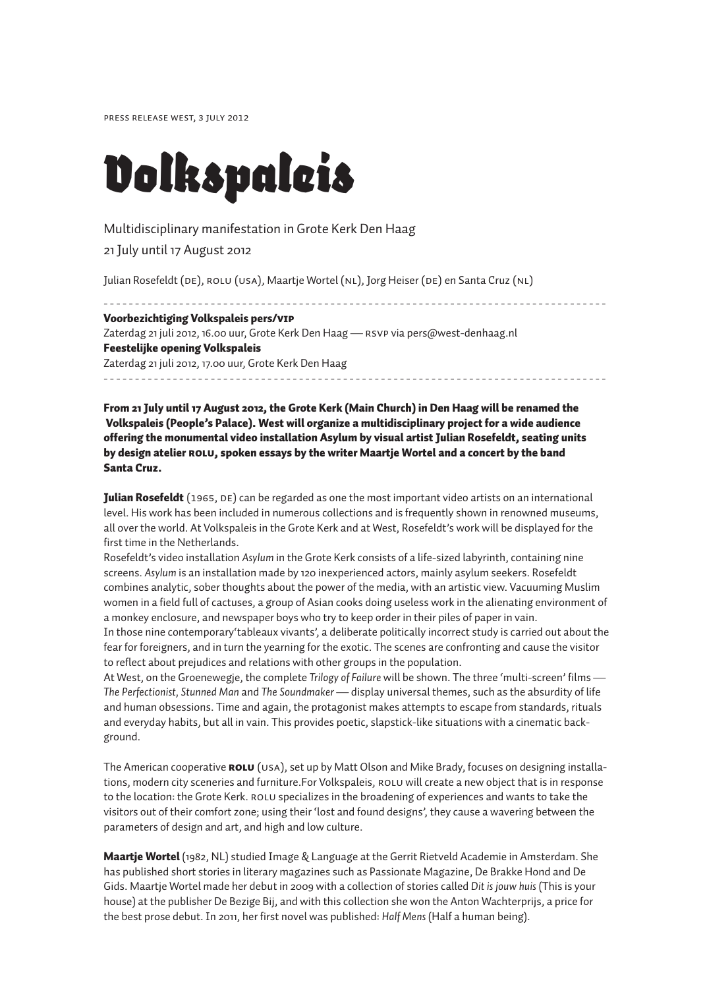Press release West, 3 July 2012

# *Volkspaleis*

# Multidisciplinary manifestation in Grote Kerk Den Haag

21 July until 17 August 2012

Julian Rosefeldt (DE), ROLU (USA), Maartje Wortel (NL), Jorg Heiser (DE) en Santa Cruz (NL)

- - - - - - - - - - - - - - - - - - - - - - - - - - - - - - - - - - - - - - - - - - - - - - - - - - - - - - - - - - - - - - - - - - - - - - - - - - - - - - - - Voorbezichtiging Volkspaleis pers/VIP Zaterdag 21 juli 2012, 16.00 uur, Grote Kerk Den Haag — RSVP via pers@west-denhaag.nl Feestelijke opening Volkspaleis Zaterdag 21 juli 2012, 17.00 uur, Grote Kerk Den Haag - - - - - - - - - - - - - - - - - - - - - - - - - - - - - - - - - - - - - - - - - - - - - - - - - - - - - - - - - - - - - - - - - - - - - - - - - - - - - - - -

From 21 July until 17 August 2012, the Grote Kerk (Main Church) in Den Haag will be renamed the Volkspaleis (People's Palace). West will organize a multidisciplinary project for a wide audience offering the monumental video installation Asylum by visual artist Julian Rosefeldt, seating units by design atelier ROLU, spoken essays by the writer Maartje Wortel and a concert by the band Santa Cruz.

**Julian Rosefeldt** (1965, DE) can be regarded as one the most important video artists on an international level. His work has been included in numerous collections and is frequently shown in renowned museums, all over the world. At Volkspaleis in the Grote Kerk and at West, Rosefeldt's work will be displayed for the first time in the Netherlands.

Rosefeldt's video installation *Asylum* in the Grote Kerk consists of a life-sized labyrinth, containing nine screens. *Asylum* is an installation made by 120 inexperienced actors, mainly asylum seekers. Rosefeldt combines analytic, sober thoughts about the power of the media, with an artistic view. Vacuuming Muslim women in a field full of cactuses, a group of Asian cooks doing useless work in the alienating environment of a monkey enclosure, and newspaper boys who try to keep order in their piles of paper in vain.

In those nine contemporary'tableaux vivants', a deliberate politically incorrect study is carried out about the fear for foreigners, and in turn the yearning for the exotic. The scenes are confronting and cause the visitor to reflect about prejudices and relations with other groups in the population.

At West, on the Groenewegje, the complete *Trilogy of Failure* will be shown. The three 'multi-screen' films — *The Perfectionist, Stunned Man* and *The Soundmaker* — display universal themes, such as the absurdity of life and human obsessions. Time and again, the protagonist makes attempts to escape from standards, rituals and everyday habits, but all in vain. This provides poetic, slapstick-like situations with a cinematic background.

The American cooperative **ROLU** (USA), set up by Matt Olson and Mike Brady, focuses on designing installations, modern city sceneries and furniture.For Volkspaleis, ROLU will create a new object that is in response to the location: the Grote Kerk. ROLU specializes in the broadening of experiences and wants to take the visitors out of their comfort zone; using their 'lost and found designs', they cause a wavering between the parameters of design and art, and high and low culture.

**Maartje Wortel** (1982, NL) studied Image & Language at the Gerrit Rietveld Academie in Amsterdam. She has published short stories in literary magazines such as Passionate Magazine, De Brakke Hond and De Gids. Maartje Wortel made her debut in 2009 with a collection of stories called *Dit is jouw huis* (This is your house) at the publisher De Bezige Bij, and with this collection she won the Anton Wachterprijs, a price for the best prose debut. In 2011, her first novel was published: *Half Mens* (Half a human being).